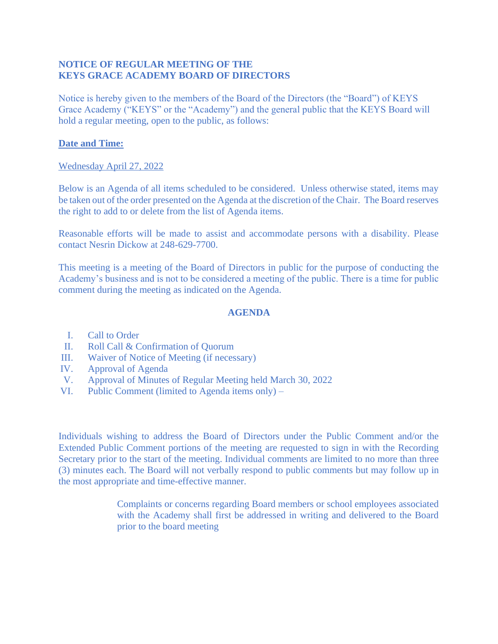## **NOTICE OF REGULAR MEETING OF THE KEYS GRACE ACADEMY BOARD OF DIRECTORS**

Notice is hereby given to the members of the Board of the Directors (the "Board") of KEYS Grace Academy ("KEYS" or the "Academy") and the general public that the KEYS Board will hold a regular meeting, open to the public, as follows:

## **Date and Time:**

## Wednesday April 27, 2022

Below is an Agenda of all items scheduled to be considered. Unless otherwise stated, items may be taken out of the order presented on the Agenda at the discretion of the Chair. The Board reserves the right to add to or delete from the list of Agenda items.

Reasonable efforts will be made to assist and accommodate persons with a disability. Please contact Nesrin Dickow at 248-629-7700.

This meeting is a meeting of the Board of Directors in public for the purpose of conducting the Academy's business and is not to be considered a meeting of the public. There is a time for public comment during the meeting as indicated on the Agenda.

## **AGENDA**

- I. Call to Order
- II. Roll Call & Confirmation of Quorum
- III. Waiver of Notice of Meeting (if necessary)
- IV. Approval of Agenda
- V. Approval of Minutes of Regular Meeting held March 30, 2022
- VI. Public Comment (limited to Agenda items only) –

Individuals wishing to address the Board of Directors under the Public Comment and/or the Extended Public Comment portions of the meeting are requested to sign in with the Recording Secretary prior to the start of the meeting. Individual comments are limited to no more than three (3) minutes each. The Board will not verbally respond to public comments but may follow up in the most appropriate and time-effective manner.

> Complaints or concerns regarding Board members or school employees associated with the Academy shall first be addressed in writing and delivered to the Board prior to the board meeting